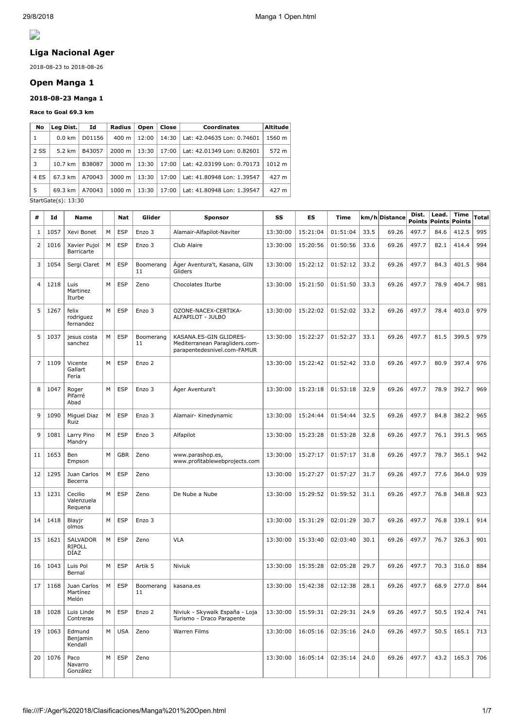

# **Liga Nacional Ager**

2018-08-23 to 2018-08-26

# **Open Manga 1**

### **2018-08-23 Manga 1**

#### **Race to Goal 69.3 km**

| No   | $ $ Leg Dist. $ $   | Id     | Radius             | Open  | Close | <b>Coordinates</b>         | <b>Altitude</b> |
|------|---------------------|--------|--------------------|-------|-------|----------------------------|-----------------|
| 1    | $0.0 \text{ km}$    | D01156 | $400 \text{ m}$    | 12:00 | 14:30 | Lat: 42.04635 Lon: 0.74601 | 1560 m          |
| 2 SS | 5.2 km              | B43057 | $2000 \; \text{m}$ | 13:30 | 17:00 | Lat: 42.01349 Lon: 0.82601 | 572 m           |
| 3    | $10.7 \text{ km}$   | B38087 | $3000 \; \text{m}$ | 13:30 | 17:00 | Lat: 42.03199 Lon: 0.70173 | 1012 m          |
| 4 ES | 67.3 km             | A70043 | $3000 \; \text{m}$ | 13:30 | 17:00 | Lat: 41.80948 Lon: 1.39547 | 427 m           |
| 5    | 69.3 km             | A70043 | $1000 \; m$        | 13:30 | 17:00 | Lat: 41.80948 Lon: 1.39547 | 427 m           |
|      | StartGate( c) 13.30 |        |                    |       |       |                            |                 |

StartGate(s): 13:30

| #              | Id   | Name                                     |   | Nat        | Glider          | <b>Sponsor</b>                                                                          | SS       | <b>ES</b> | Time     |      | km/h Distance | Dist.<br>Points | Lead.<br>Points | <b>Time</b><br><b>Points</b> | Total |
|----------------|------|------------------------------------------|---|------------|-----------------|-----------------------------------------------------------------------------------------|----------|-----------|----------|------|---------------|-----------------|-----------------|------------------------------|-------|
| $\mathbf{1}$   | 1057 | Xevi Bonet                               | M | <b>ESP</b> | Enzo 3          | Alamair-Alfapilot-Naviter                                                               | 13:30:00 | 15:21:04  | 01:51:04 | 33.5 | 69.26         | 497.7           | 84.6            | 412.5                        | 995   |
| 2              | 1016 | Xavier Pujol<br>Barricarte               | M | <b>ESP</b> | Enzo 3          | Club Alaire                                                                             | 13:30:00 | 15:20:56  | 01:50:56 | 33.6 | 69.26         | 497.7           | 82.1            | 414.4                        | 994   |
| 3              | 1054 | Sergi Claret                             | M | <b>ESP</b> | Boomerang<br>11 | Àger Aventura't, Kasana, GIN<br>Gliders                                                 | 13:30:00 | 15:22:12  | 01:52:12 | 33.2 | 69.26         | 497.7           | 84.3            | 401.5                        | 984   |
| $\overline{4}$ | 1218 | Luis<br>Martinez<br>Iturbe               | M | ESP        | Zeno            | Chocolates Iturbe                                                                       | 13:30:00 | 15:21:50  | 01:51:50 | 33.3 | 69.26         | 497.7           | 78.9            | 404.7                        | 981   |
| 5              | 1267 | felix<br>rodriguez<br>fernandez          | M | <b>ESP</b> | Enzo 3          | OZONE-NACEX-CERTIKA-<br>ALFAPILOT - JULBO                                               | 13:30:00 | 15:22:02  | 01:52:02 | 33.2 | 69.26         | 497.7           | 78.4            | 403.0                        | 979   |
| 5              | 1037 | jesus costa<br>sanchez                   | M | <b>ESP</b> | Boomerang<br>11 | KASANA.ES-GIN GLIDRES-<br>Mediterranean Paragliders.com-<br>parapentedesnivel.com-FAMUR | 13:30:00 | 15:22:27  | 01:52:27 | 33.1 | 69.26         | 497.7           | 81.5            | 399.5                        | 979   |
| $\overline{7}$ | 1109 | Vicente<br>Gallart<br>Feria              | M | <b>ESP</b> | Enzo 2          |                                                                                         | 13:30:00 | 15:22:42  | 01:52:42 | 33.0 | 69.26         | 497.7           | 80.9            | 397.4                        | 976   |
| 8              | 1047 | Roger<br>Pifarré<br>Abad                 | M | <b>ESP</b> | Enzo 3          | Ager Aventura't                                                                         | 13:30:00 | 15:23:18  | 01:53:18 | 32.9 | 69.26         | 497.7           | 78.9            | 392.7                        | 969   |
| 9              | 1090 | Miguel Diaz<br>Ruiz                      | M | <b>ESP</b> | Enzo 3          | Alamair- Kinedynamic                                                                    | 13:30:00 | 15:24:44  | 01:54:44 | 32.5 | 69.26         | 497.7           | 84.8            | 382.2                        | 965   |
| 9              | 1081 | Larry Pino<br>Mandry                     | M | <b>ESP</b> | Enzo 3          | Alfapilot                                                                               | 13:30:00 | 15:23:28  | 01:53:28 | 32.8 | 69.26         | 497.7           | 76.1            | 391.5                        | 965   |
| 11             | 1653 | Ben<br>Empson                            | M | <b>GBR</b> | Zeno            | www.parashop.es,<br>www.profitablewebprojects.com                                       | 13:30:00 | 15:27:17  | 01:57:17 | 31.8 | 69.26         | 497.7           | 78.7            | 365.1                        | 942   |
| 12             | 1295 | Juan Carlos<br>Becerra                   | M | <b>ESP</b> | Zeno            |                                                                                         | 13:30:00 | 15:27:27  | 01:57:27 | 31.7 | 69.26         | 497.7           | 77.6            | 364.0                        | 939   |
| 13             | 1231 | Cecilio<br>Valenzuela<br>Requena         | M | <b>ESP</b> | Zeno            | De Nube a Nube                                                                          | 13:30:00 | 15:29:52  | 01:59:52 | 31.1 | 69.26         | 497.7           | 76.8            | 348.8                        | 923   |
| 14             | 1418 | Blayjr<br>olmos                          | M | <b>ESP</b> | Enzo 3          |                                                                                         | 13:30:00 | 15:31:29  | 02:01:29 | 30.7 | 69.26         | 497.7           | 76.8            | 339.1                        | 914   |
| 15             | 1621 | <b>SALVADOR</b><br><b>RIPOLL</b><br>DÍAZ | M | <b>ESP</b> | Zeno            | <b>VLA</b>                                                                              | 13:30:00 | 15:33:40  | 02:03:40 | 30.1 | 69.26         | 497.7           | 76.7            | 326.3                        | 901   |
| 16             | 1043 | Luis Pol<br>Bernal                       | M | <b>ESP</b> | Artik 5         | Niviuk                                                                                  | 13:30:00 | 15:35:28  | 02:05:28 | 29.7 | 69.26         | 497.7           | 70.3            | 316.0                        | 884   |
| 17             | 1168 | Juan Carlos<br>Martínez<br>Melon         | M | <b>ESP</b> | Boomerang<br>11 | kasana.es                                                                               | 13:30:00 | 15:42:38  | 02:12:38 | 28.1 | 69.26         | 497.7           | 68.9            | 277.0                        | 844   |
| 18             | 1028 | Luis Linde<br>Contreras                  | М | <b>ESP</b> | Enzo 2          | Niviuk - Skywalk España - Loja<br>Turismo - Draco Parapente                             | 13:30:00 | 15:59:31  | 02:29:31 | 24.9 | 69.26         | 497.7           | 50.5            | 192.4                        | 741   |
| 19             | 1063 | Edmund<br>Benjamin<br>Kendall            | M | <b>USA</b> | Zeno            | <b>Warren Films</b>                                                                     | 13:30:00 | 16:05:16  | 02:35:16 | 24.0 | 69.26         | 497.7           | 50.5            | 165.1                        | 713   |
| 20             | 1076 | Paco<br>Navarro<br>González              | M | <b>ESP</b> | Zeno            |                                                                                         | 13:30:00 | 16:05:14  | 02:35:14 | 24.0 | 69.26         | 497.7           | 43.2            | 165.3                        | 706   |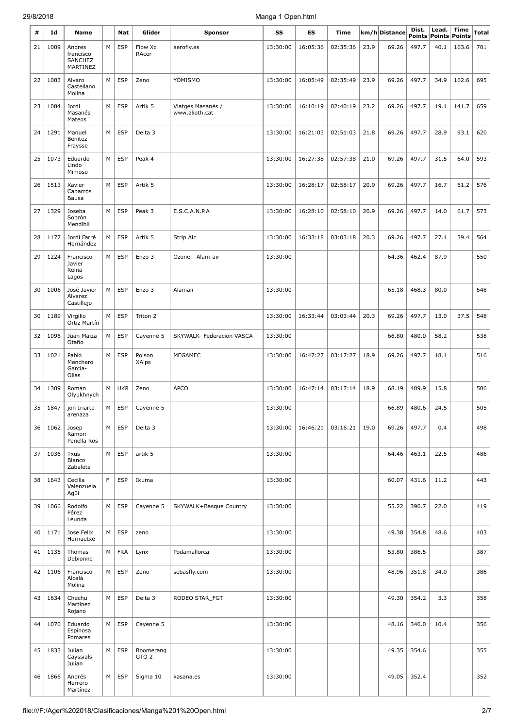| #  | Id   | <b>Name</b>                           |   | Nat                 | Glider                        | Sponsor                             | SS       | ES       | Time     |      | km/h Distance | Dist.                  | Lead.          | Time                   | <b>Total</b> |
|----|------|---------------------------------------|---|---------------------|-------------------------------|-------------------------------------|----------|----------|----------|------|---------------|------------------------|----------------|------------------------|--------------|
| 21 | 1009 | Andres                                | М | <b>ESP</b>          | Flow Xc                       | aerofly.es                          | 13:30:00 | 16:05:36 | 02:35:36 | 23.9 | 69.26         | <b>Points</b><br>497.7 | Points<br>40.1 | <b>Points</b><br>163.6 | 701          |
|    |      | francisco<br>SANCHEZ<br>MARTINEZ      |   |                     | RAcer                         |                                     |          |          |          |      |               |                        |                |                        |              |
| 22 | 1083 | Alvaro<br>Castellano<br>Molina        | М | <b>ESP</b>          | Zeno                          | YOMISMO                             | 13:30:00 | 16:05:49 | 02:35:49 | 23.9 | 69.26         | 497.7                  | 34.9           | 162.6                  | 695          |
| 23 | 1084 | Jordi<br>Masanés<br>Mateos            | М | <b>ESP</b>          | Artik 5                       | Viatges Masanés /<br>www.alioth.cat | 13:30:00 | 16:10:19 | 02:40:19 | 23.2 | 69.26         | 497.7                  | 19.1           | 141.7                  | 659          |
| 24 | 1291 | Manuel<br>Benitez<br>Fraysse          | M | <b>ESP</b>          | Delta 3                       |                                     | 13:30:00 | 16:21:03 | 02:51:03 | 21.8 | 69.26         | 497.7                  | 28.9           | 93.1                   | 620          |
| 25 | 1073 | Eduardo<br>Lindo<br>Mimoso            | М | <b>ESP</b>          | Peak 4                        |                                     | 13:30:00 | 16:27:38 | 02:57:38 | 21.0 | 69.26         | 497.7                  | 31.5           | 64.0                   | 593          |
| 26 | 1513 | Xavier<br>Caparrós<br>Bausa           | М | <b>ESP</b>          | Artik 5                       |                                     | 13:30:00 | 16:28:17 | 02:58:17 | 20.9 | 69.26         | 497.7                  | 16.7           | 61.2                   | 576          |
| 27 | 1329 | Joseba<br>Sobrón<br>Mendibil          | М | <b>ESP</b>          | Peak 3                        | E.S.C.A.N.P.A                       | 13:30:00 | 16:28:10 | 02:58:10 | 20.9 | 69.26         | 497.7                  | 14.0           | 61.7                   | 573          |
| 28 | 1177 | Jordi Farré<br>Hernández              | М | <b>ESP</b>          | Artik 5                       | Strip Air                           | 13:30:00 | 16:33:18 | 03:03:18 | 20.3 | 69.26         | 497.7                  | 27.1           | 39.4                   | 564          |
| 29 | 1224 | Francisco<br>Javier<br>Reina<br>Lagos | М | <b>ESP</b>          | Enzo 3                        | Ozone - Alam-air                    | 13:30:00 |          |          |      | 64.36         | 462.4                  | 87.9           |                        | 550          |
| 30 | 1006 | José Javier<br>Alvarez<br>Castillejo  | М | <b>ESP</b>          | Enzo 3                        | Alamair                             | 13:30:00 |          |          |      | 65.18         | 468.3                  | 80.0           |                        | 548          |
| 30 | 1189 | Virgilio<br>Ortiz Martín              | М | <b>ESP</b>          | Triton 2                      |                                     | 13:30:00 | 16:33:44 | 03:03:44 | 20.3 | 69.26         | 497.7                  | 13.0           | 37.5                   | 548          |
| 32 | 1096 | Juan Maiza<br>Otaño                   | М | <b>ESP</b>          | Cayenne 5                     | SKYWALK- Federacion VASCA           | 13:30:00 |          |          |      | 66.80         | 480.0                  | 58.2           |                        | 538          |
| 33 | 1021 | Pablo<br>Menchero<br>García-<br>Olías | М | <b>ESP</b>          | Poison<br>XAlps               | MEGAMEC                             | 13:30:00 | 16:47:27 | 03:17:27 | 18.9 | 69.26         | 497.7                  | 18.1           |                        | 516          |
| 34 | 1309 | Roman<br>Olyukhnych                   | М | <b>UKR</b>          | Zeno                          | <b>APCO</b>                         | 13:30:00 | 16:47:14 | 03:17:14 | 18.9 | 68.19         | 489.9                  | 15.8           |                        | 506          |
| 35 |      | 1847   jon Iriarte<br>arenaza         |   | $M \vert ESP \vert$ | Cayenne 5                     |                                     | 13:30:00 |          |          |      | 66.89         | 480.6                  | 24.5           |                        | 505          |
| 36 | 1062 | Josep<br>Ramon<br>Penella Ros         | M | <b>ESP</b>          | Delta 3                       |                                     | 13:30:00 | 16:46:21 | 03:16:21 | 19.0 | 69.26         | 497.7                  | 0.4            |                        | 498          |
| 37 | 1036 | Txus<br>Blanco<br>Zabaleta            | М | <b>ESP</b>          | artik 5                       |                                     | 13:30:00 |          |          |      | 64.46         | 463.1                  | 22.5           |                        | 486          |
| 38 | 1643 | Cecilia<br>Valenzuela<br>Agüí         | F | <b>ESP</b>          | Ikuma                         |                                     | 13:30:00 |          |          |      | 60.07         | 431.6                  | 11.2           |                        | 443          |
| 39 | 1066 | Rodolfo<br>Pérez<br>Leunda            | М | <b>ESP</b>          | Cayenne 5                     | SKYWALK+Basque Country              | 13:30:00 |          |          |      | 55.22         | 396.7                  | 22.0           |                        | 419          |
| 40 | 1171 | Jose Felix<br>Hornaetxe               | М | <b>ESP</b>          | zeno                          |                                     | 13:30:00 |          |          |      | 49.38         | 354.8                  | 48.6           |                        | 403          |
| 41 | 1135 | Thomas<br>Debionne                    | М | <b>FRA</b>          | Lynx                          | Podamallorca                        | 13:30:00 |          |          |      | 53.80         | 386.5                  |                |                        | 387          |
| 42 | 1106 | Francisco<br>Alcalá<br>Molina         | М | <b>ESP</b>          | Zeno                          | sebasfly.com                        | 13:30:00 |          |          |      | 48.96         | 351.8                  | 34.0           |                        | 386          |
| 43 | 1634 | Chechu<br>Martinez<br>Rojano          | М | ESP                 | Delta 3                       | RODEO STAR_FGT                      | 13:30:00 |          |          |      | 49.30         | 354.2                  | 3.3            |                        | 358          |
| 44 | 1070 | Eduardo<br>Espinosa<br>Pomares        | М | <b>ESP</b>          | Cayenne 5                     |                                     | 13:30:00 |          |          |      | 48.16         | 346.0                  | 10.4           |                        | 356          |
| 45 | 1833 | Julian<br>Cayssials<br>Julian         | М | <b>ESP</b>          | Boomerang<br>GTO <sub>2</sub> |                                     | 13:30:00 |          |          |      | 49.35         | 354.6                  |                |                        | 355          |
| 46 | 1866 | Andrés<br>Herrero<br>Martínez         | М | <b>ESP</b>          | Sigma 10                      | kasana.es                           | 13:30:00 |          |          |      | 49.05         | 352.4                  |                |                        | 352          |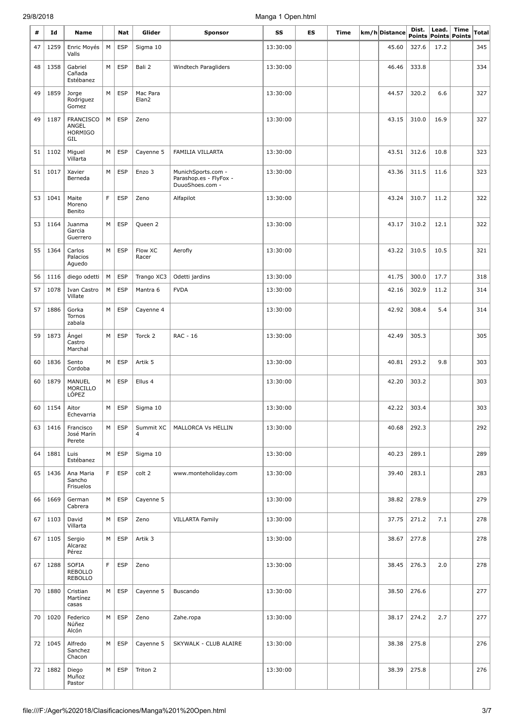| #  | Id          | <b>Name</b>                                        |   | Nat        | Glider            | <b>Sponsor</b>                                                  | SS       | <b>ES</b> | Time | km/h Distance | Dist. | Lead. | <b>Time</b>          | Total |
|----|-------------|----------------------------------------------------|---|------------|-------------------|-----------------------------------------------------------------|----------|-----------|------|---------------|-------|-------|----------------------|-------|
|    |             |                                                    |   |            |                   |                                                                 |          |           |      |               |       |       | Points Points Points |       |
| 47 | 1259        | Enric Moyés<br>Valls                               | М | <b>ESP</b> | Sigma 10          |                                                                 | 13:30:00 |           |      | 45.60         | 327.6 | 17.2  |                      | 345   |
| 48 | 1358        | Gabriel<br>Cañada<br>Estébanez                     | M | <b>ESP</b> | Bali 2            | Windtech Paragliders                                            | 13:30:00 |           |      | 46.46         | 333.8 |       |                      | 334   |
| 49 | 1859        | Jorge<br>Rodriguez<br>Gomez                        | М | <b>ESP</b> | Mac Para<br>Elan2 |                                                                 | 13:30:00 |           |      | 44.57         | 320.2 | 6.6   |                      | 327   |
| 49 | 1187        | <b>FRANCISCO</b><br>ANGEL<br><b>HORMIGO</b><br>GIL | М | <b>ESP</b> | Zeno              |                                                                 | 13:30:00 |           |      | 43.15         | 310.0 | 16.9  |                      | 327   |
| 51 | 1102        | Miguel<br>Villarta                                 | М | <b>ESP</b> | Cayenne 5         | FAMILIA VILLARTA                                                | 13:30:00 |           |      | 43.51         | 312.6 | 10.8  |                      | 323   |
| 51 | 1017        | Xavier<br>Berneda                                  | М | <b>ESP</b> | Enzo 3            | MunichSports.com -<br>Parashop.es - FlyFox -<br>DuuoShoes.com - | 13:30:00 |           |      | 43.36         | 311.5 | 11.6  |                      | 323   |
| 53 | 1041        | Maite<br>Moreno<br>Benito                          | F | <b>ESP</b> | Zeno              | Alfapilot                                                       | 13:30:00 |           |      | 43.24         | 310.7 | 11.2  |                      | 322   |
| 53 | 1164        | Juanma<br>Garcia<br>Guerrero                       | M | <b>ESP</b> | Queen 2           |                                                                 | 13:30:00 |           |      | 43.17         | 310.2 | 12.1  |                      | 322   |
| 55 | 1364        | Carlos<br>Palacios<br>Aguedo                       | M | <b>ESP</b> | Flow XC<br>Racer  | Aerofly                                                         | 13:30:00 |           |      | 43.22         | 310.5 | 10.5  |                      | 321   |
| 56 | 1116        | diego odetti                                       | М | <b>ESP</b> | Trango XC3        | Odetti jardins                                                  | 13:30:00 |           |      | 41.75         | 300.0 | 17.7  |                      | 318   |
| 57 | 1078        | Ivan Castro<br>Villate                             | М | <b>ESP</b> | Mantra 6          | <b>FVDA</b>                                                     | 13:30:00 |           |      | 42.16         | 302.9 | 11.2  |                      | 314   |
| 57 | 1886        | Gorka<br>Tornos<br>zabala                          | М | <b>ESP</b> | Cayenne 4         |                                                                 | 13:30:00 |           |      | 42.92         | 308.4 | 5.4   |                      | 314   |
| 59 | 1873        | Ángel<br>Castro<br>Marchal                         | M | <b>ESP</b> | Torck 2           | RAC - 16                                                        | 13:30:00 |           |      | 42.49         | 305.3 |       |                      | 305   |
| 60 | 1836        | Sento<br>Cordoba                                   | M | <b>ESP</b> | Artik 5           |                                                                 | 13:30:00 |           |      | 40.81         | 293.2 | 9.8   |                      | 303   |
| 60 | 1879        | MANUEL<br>MORCILLO<br>LÓPEZ                        | М | <b>ESP</b> | Ellus 4           |                                                                 | 13:30:00 |           |      | 42.20         | 303.2 |       |                      | 303   |
|    | $60$   1154 | Aitor<br>Echevarria                                | M | ESP        | Sigma $10$        |                                                                 | 13:30:00 |           |      | 42.22         | 303.4 |       |                      | 303   |
| 63 | 1416        | Francisco<br>José Marín<br>Perete                  | M | <b>ESP</b> | Summit XC<br>4    | MALLORCA Vs HELLIN                                              | 13:30:00 |           |      | 40.68         | 292.3 |       |                      | 292   |
| 64 | 1881        | Luis<br>Estébanez                                  | М | <b>ESP</b> | Sigma 10          |                                                                 | 13:30:00 |           |      | 40.23         | 289.1 |       |                      | 289   |
| 65 | 1436        | Ana Maria<br>Sancho<br>Frisuelos                   | F | ESP        | colt 2            | www.monteholiday.com                                            | 13:30:00 |           |      | 39.40         | 283.1 |       |                      | 283   |
| 66 | 1669        | German<br>Cabrera                                  | M | <b>ESP</b> | Cayenne 5         |                                                                 | 13:30:00 |           |      | 38.82         | 278.9 |       |                      | 279   |
| 67 | 1103        | David<br>Villarta                                  | М | <b>ESP</b> | Zeno              | <b>VILLARTA Family</b>                                          | 13:30:00 |           |      | 37.75         | 271.2 | 7.1   |                      | 278   |
| 67 | 1105        | Sergio<br>Alcaraz<br>Pérez                         | M | <b>ESP</b> | Artik 3           |                                                                 | 13:30:00 |           |      | 38.67         | 277.8 |       |                      | 278   |
| 67 | 1288        | <b>SOFIA</b><br><b>REBOLLO</b><br>REBOLLO          | F | <b>ESP</b> | Zeno              |                                                                 | 13:30:00 |           |      | 38.45         | 276.3 | 2.0   |                      | 278   |
| 70 | 1880        | Cristian<br>Martínez<br>casas                      | M | <b>ESP</b> | Cayenne 5         | Buscando                                                        | 13:30:00 |           |      | 38.50         | 276.6 |       |                      | 277   |
| 70 | 1020        | Federico<br>Núñez<br>Alcón                         | M | <b>ESP</b> | Zeno              | Zahe.ropa                                                       | 13:30:00 |           |      | 38.17         | 274.2 | 2.7   |                      | 277   |
| 72 | 1045        | Alfredo<br>Sanchez<br>Chacon                       | M | <b>ESP</b> | Cayenne 5         | SKYWALK - CLUB ALAIRE                                           | 13:30:00 |           |      | 38.38         | 275.8 |       |                      | 276   |
| 72 | 1882        | Diego<br>Muñoz<br>Pastor                           | M | <b>ESP</b> | Triton 2          |                                                                 | 13:30:00 |           |      | 38.39         | 275.8 |       |                      | 276   |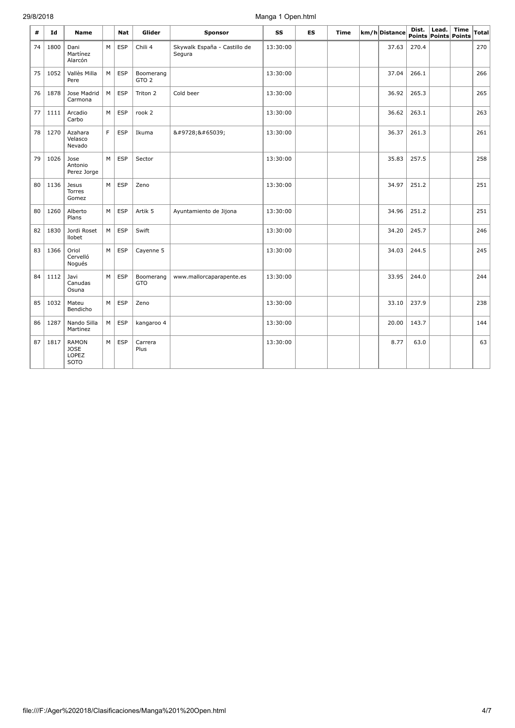| #  | Id   | <b>Name</b>                                         |    | <b>Nat</b> | Glider                        | <b>Sponsor</b>                         | SS       | <b>ES</b> | <b>Time</b> | km/h Distance | Dist. | Lead. | <b>Time</b><br>Points Points Points | Total |
|----|------|-----------------------------------------------------|----|------------|-------------------------------|----------------------------------------|----------|-----------|-------------|---------------|-------|-------|-------------------------------------|-------|
| 74 | 1800 | Dani<br>Martínez<br>Alarcón                         | M  | <b>ESP</b> | Chili 4                       | Skywalk España - Castillo de<br>Segura | 13:30:00 |           |             | 37.63         | 270.4 |       |                                     | 270   |
| 75 | 1052 | Vallès Milla<br>Pere                                | M  | <b>ESP</b> | Boomerang<br>GTO <sub>2</sub> |                                        | 13:30:00 |           |             | 37.04         | 266.1 |       |                                     | 266   |
| 76 | 1878 | Jose Madrid<br>Carmona                              | M  | <b>ESP</b> | Triton 2                      | Cold beer                              | 13:30:00 |           |             | 36.92         | 265.3 |       |                                     | 265   |
| 77 | 1111 | Arcadio<br>Carbo                                    | M  | <b>ESP</b> | rook 2                        |                                        | 13:30:00 |           |             | 36.62         | 263.1 |       |                                     | 263   |
| 78 | 1270 | Azahara<br>Velasco<br>Nevado                        | F. | <b>ESP</b> | Ikuma                         | ☀️                                     | 13:30:00 |           |             | 36.37         | 261.3 |       |                                     | 261   |
| 79 | 1026 | Jose<br>Antonio<br>Perez Jorge                      | M  | ESP        | Sector                        |                                        | 13:30:00 |           |             | 35.83         | 257.5 |       |                                     | 258   |
| 80 | 1136 | <b>Jesus</b><br><b>Torres</b><br>Gomez              | M  | <b>ESP</b> | Zeno                          |                                        | 13:30:00 |           |             | 34.97         | 251.2 |       |                                     | 251   |
| 80 | 1260 | Alberto<br>Plans                                    | M  | <b>ESP</b> | Artik 5                       | Ayuntamiento de Jijona                 | 13:30:00 |           |             | 34.96         | 251.2 |       |                                     | 251   |
| 82 | 1830 | Jordi Roset<br>llobet                               | M  | <b>ESP</b> | Swift                         |                                        | 13:30:00 |           |             | 34.20         | 245.7 |       |                                     | 246   |
| 83 | 1366 | Oriol<br>Cervelló<br>Nogués                         | M  | ESP        | Cayenne 5                     |                                        | 13:30:00 |           |             | 34.03         | 244.5 |       |                                     | 245   |
| 84 | 1112 | Javi<br>Canudas<br>Osuna                            | M  | <b>ESP</b> | Boomerang<br><b>GTO</b>       | www.mallorcaparapente.es               | 13:30:00 |           |             | 33.95         | 244.0 |       |                                     | 244   |
| 85 | 1032 | Mateu<br>Bendicho                                   | M  | <b>ESP</b> | Zeno                          |                                        | 13:30:00 |           |             | 33.10         | 237.9 |       |                                     | 238   |
| 86 | 1287 | Nando Silla<br>Martinez                             | M  | <b>ESP</b> | kangaroo 4                    |                                        | 13:30:00 |           |             | 20.00         | 143.7 |       |                                     | 144   |
| 87 | 1817 | <b>RAMON</b><br><b>JOSE</b><br>LOPEZ<br><b>SOTO</b> | M  | <b>ESP</b> | Carrera<br>Plus               |                                        | 13:30:00 |           |             | 8.77          | 63.0  |       |                                     | 63    |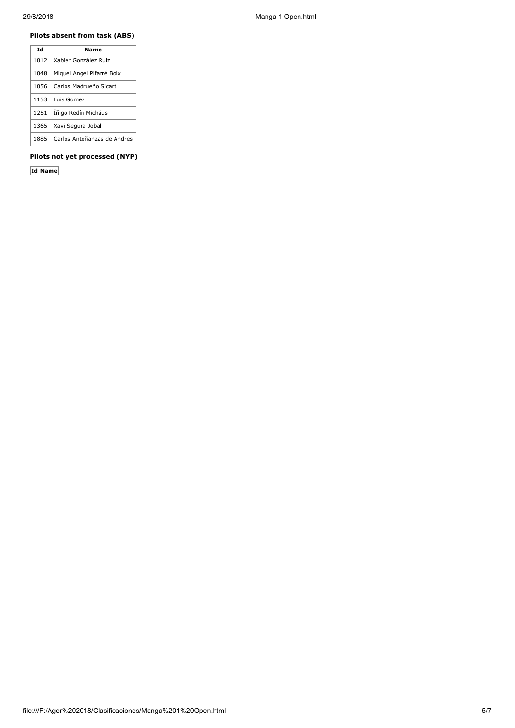## **Pilots absent from task (ABS)**

| Τd   | Name                        |
|------|-----------------------------|
| 1012 | Xabier González Ruiz        |
| 1048 | Miguel Angel Pifarré Boix   |
| 1056 | Carlos Madrueño Sicart      |
| 1153 | Luis Gomez                  |
| 1251 | Íñigo Redín Micháus         |
| 1365 | Xavi Segura Jobal           |
| 1885 | Carlos Antoñanzas de Andres |

### **Pilots not yet processed (NYP)**

**Id Name**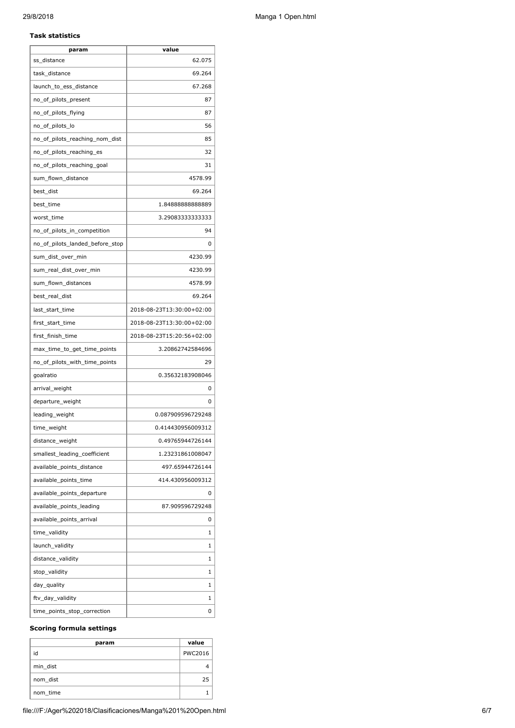#### **Task statistics**

| param                           | value                     |
|---------------------------------|---------------------------|
| ss distance                     | 62.075                    |
| task_distance                   | 69.264                    |
| launch_to_ess_distance          | 67.268                    |
| no_of_pilots_present            | 87                        |
| no_of_pilots_flying             | 87                        |
| no_of_pilots_lo                 | 56                        |
| no_of_pilots_reaching_nom_dist  | 85                        |
| no_of_pilots_reaching_es        | 32                        |
| no_of_pilots_reaching_goal      | 31                        |
| sum_flown_distance              | 4578.99                   |
| best_dist                       | 69.264                    |
| best_time                       | 1.8488888888889           |
| worst_time                      | 3.29083333333333          |
| no_of_pilots_in_competition     | 94                        |
| no_of_pilots_landed_before_stop | 0                         |
| sum_dist_over_min               | 4230.99                   |
| sum_real_dist_over_min          | 4230.99                   |
| sum_flown_distances             | 4578.99                   |
| best_real_dist                  | 69.264                    |
| last_start_time                 | 2018-08-23T13:30:00+02:00 |
| first_start_time                | 2018-08-23T13:30:00+02:00 |
| first_finish_time               | 2018-08-23T15:20:56+02:00 |
| max_time_to_get_time_points     | 3.20862742584696          |
| no_of_pilots_with_time_points   | 29                        |
| goalratio                       | 0.35632183908046          |
| arrival_weight                  | 0                         |
| departure_weight                | 0                         |
| leading_weight                  | 0.087909596729248         |
| time_weight                     | 0.414430956009312         |
| distance_weight                 | 0.49765944726144          |
| smallest_leading_coefficient    | 1.23231861008047          |
| available_points_distance       | 497.65944726144           |
| available_points_time           | 414.430956009312          |
| available_points_departure      | 0                         |
| available_points_leading        | 87.909596729248           |
| available_points_arrival        | 0                         |
| time_validity                   | 1                         |
| launch_validity                 | 1                         |
| distance_validity               | 1                         |
| stop_validity                   | 1                         |
| day_quality                     | 1                         |
| ftv_day_validity                | 1                         |
| time_points_stop_correction     | 0                         |

#### **Scoring formula settings**

| param    | value   |
|----------|---------|
| id       | PWC2016 |
| min_dist |         |
| nom dist | 25      |
| nom_time |         |

file:///F:/Ager%202018/Clasificaciones/Manga%201%20Open.html 6/7